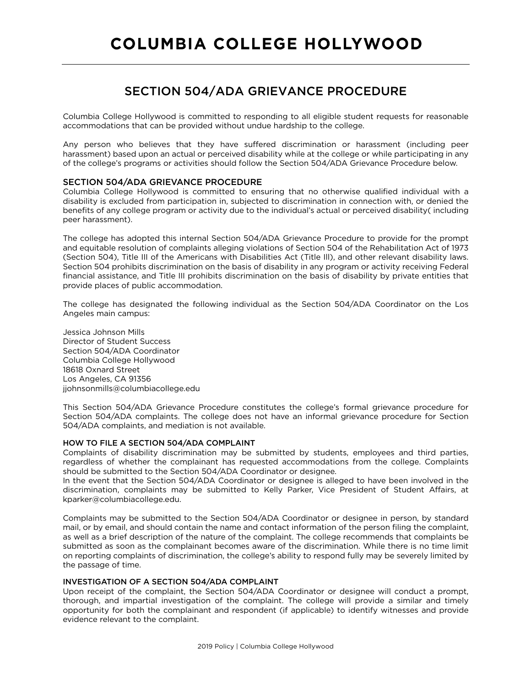# SECTION 504/ADA GRIEVANCE PROCEDURE

Columbia College Hollywood is committed to responding to all eligible student requests for reasonable accommodations that can be provided without undue hardship to the college.

Any person who believes that they have suffered discrimination or harassment (including peer harassment) based upon an actual or perceived disability while at the college or while participating in any of the college's programs or activities should follow the Section 504/ADA Grievance Procedure below.

# SECTION 504/ADA GRIEVANCE PROCEDURE

Columbia College Hollywood is committed to ensuring that no otherwise qualified individual with a disability is excluded from participation in, subjected to discrimination in connection with, or denied the benefits of any college program or activity due to the individual's actual or perceived disability( including peer harassment).

The college has adopted this internal Section 504/ADA Grievance Procedure to provide for the prompt and equitable resolution of complaints alleging violations of Section 504 of the Rehabilitation Act of 1973 (Section 504), Title III of the Americans with Disabilities Act (Title Ill), and other relevant disability laws. Section 504 prohibits discrimination on the basis of disability in any program or activity receiving Federal financial assistance, and Title III prohibits discrimination on the basis of disability by private entities that provide places of public accommodation.

The college has designated the following individual as the Section 504/ADA Coordinator on the Los Angeles main campus:

Jessica Johnson Mills Director of Student Success Section 504/ADA Coordinator Columbia College Hollywood 18618 Oxnard Street Los Angeles, CA 91356 jjohnsonmills@columbiacollege.edu

This Section 504/ADA Grievance Procedure constitutes the college's formal grievance procedure for Section 504/ADA complaints. The college does not have an informal grievance procedure for Section 504/ADA complaints, and mediation is not available.

## HOW TO FILE A SECTION 504/ADA COMPLAINT

Complaints of disability discrimination may be submitted by students, employees and third parties, regardless of whether the complainant has requested accommodations from the college. Complaints should be submitted to the Section 504/ADA Coordinator or designee.

In the event that the Section 504/ADA Coordinator or designee is alleged to have been involved in the discrimination, complaints may be submitted to Kelly Parker, Vice President of Student Affairs, at kparker@columbiacollege.edu.

Complaints may be submitted to the Section 504/ADA Coordinator or designee in person, by standard mail, or by email, and should contain the name and contact information of the person filing the complaint, as well as a brief description of the nature of the complaint. The college recommends that complaints be submitted as soon as the complainant becomes aware of the discrimination. While there is no time limit on reporting complaints of discrimination, the college's ability to respond fully may be severely limited by the passage of time.

## INVESTIGATION OF A SECTION 504/ADA COMPLAINT

Upon receipt of the complaint, the Section 504/ADA Coordinator or designee will conduct a prompt, thorough, and impartial investigation of the complaint. The college will provide a similar and timely opportunity for both the complainant and respondent (if applicable) to identify witnesses and provide evidence relevant to the complaint.